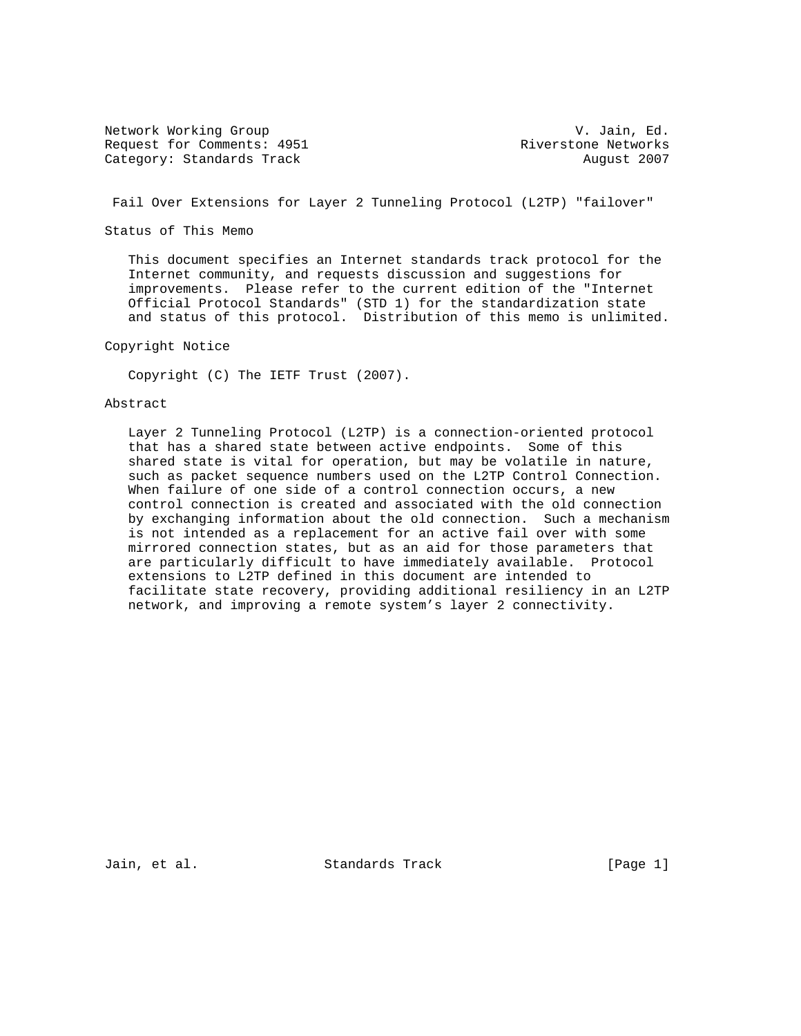Network Working Group and Communications of the V. Jain, Ed. Request for Comments: 4951 Riverstone Networks Category: Standards Track August 2007

Fail Over Extensions for Layer 2 Tunneling Protocol (L2TP) "failover"

Status of This Memo

 This document specifies an Internet standards track protocol for the Internet community, and requests discussion and suggestions for improvements. Please refer to the current edition of the "Internet Official Protocol Standards" (STD 1) for the standardization state and status of this protocol. Distribution of this memo is unlimited.

Copyright Notice

Copyright (C) The IETF Trust (2007).

### Abstract

 Layer 2 Tunneling Protocol (L2TP) is a connection-oriented protocol that has a shared state between active endpoints. Some of this shared state is vital for operation, but may be volatile in nature, such as packet sequence numbers used on the L2TP Control Connection. When failure of one side of a control connection occurs, a new control connection is created and associated with the old connection by exchanging information about the old connection. Such a mechanism is not intended as a replacement for an active fail over with some mirrored connection states, but as an aid for those parameters that are particularly difficult to have immediately available. Protocol extensions to L2TP defined in this document are intended to facilitate state recovery, providing additional resiliency in an L2TP network, and improving a remote system's layer 2 connectivity.

Jain, et al. Standards Track [Page 1]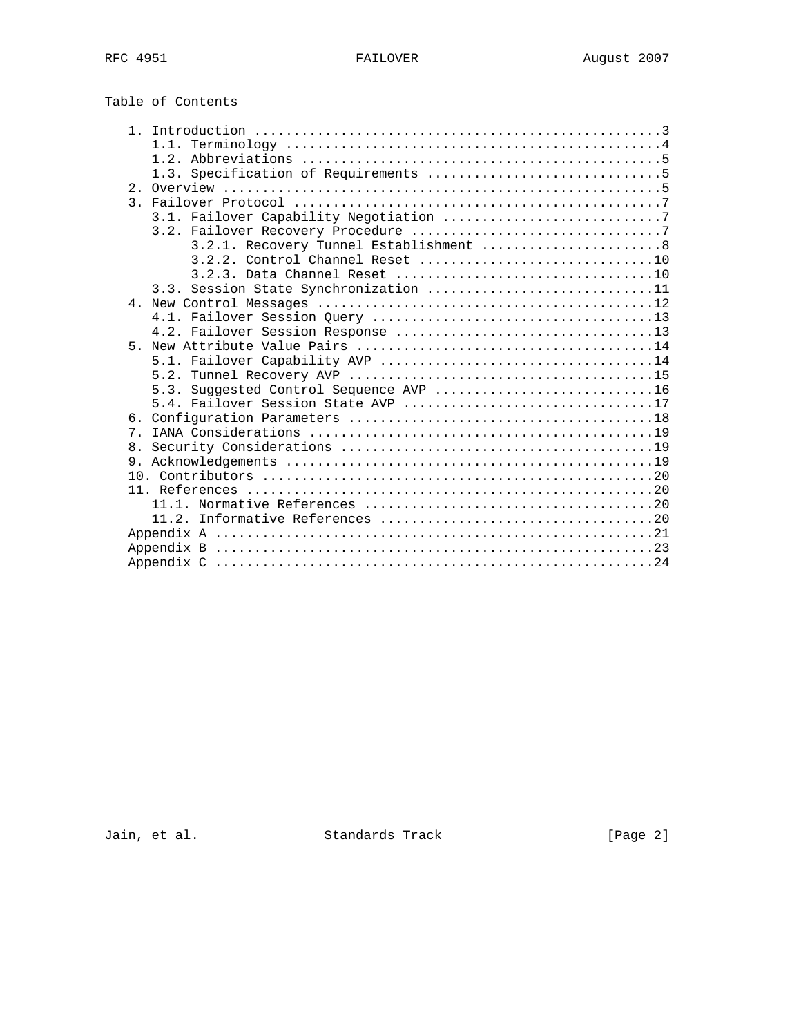Table of Contents

|       | 3.2.1. Recovery Tunnel Establishment 8 |  |
|-------|----------------------------------------|--|
|       |                                        |  |
|       |                                        |  |
|       | 3.3. Session State Synchronization 11  |  |
|       |                                        |  |
|       |                                        |  |
|       |                                        |  |
| 5     |                                        |  |
|       |                                        |  |
|       |                                        |  |
|       | 5.3. Suggested Control Sequence AVP 16 |  |
|       | 5.4. Failover Session State AVP 17     |  |
|       |                                        |  |
| $7$ . |                                        |  |
|       |                                        |  |
|       |                                        |  |
|       |                                        |  |
|       |                                        |  |
|       |                                        |  |
|       |                                        |  |
|       |                                        |  |
|       |                                        |  |
|       |                                        |  |

Jain, et al. Standards Track [Page 2]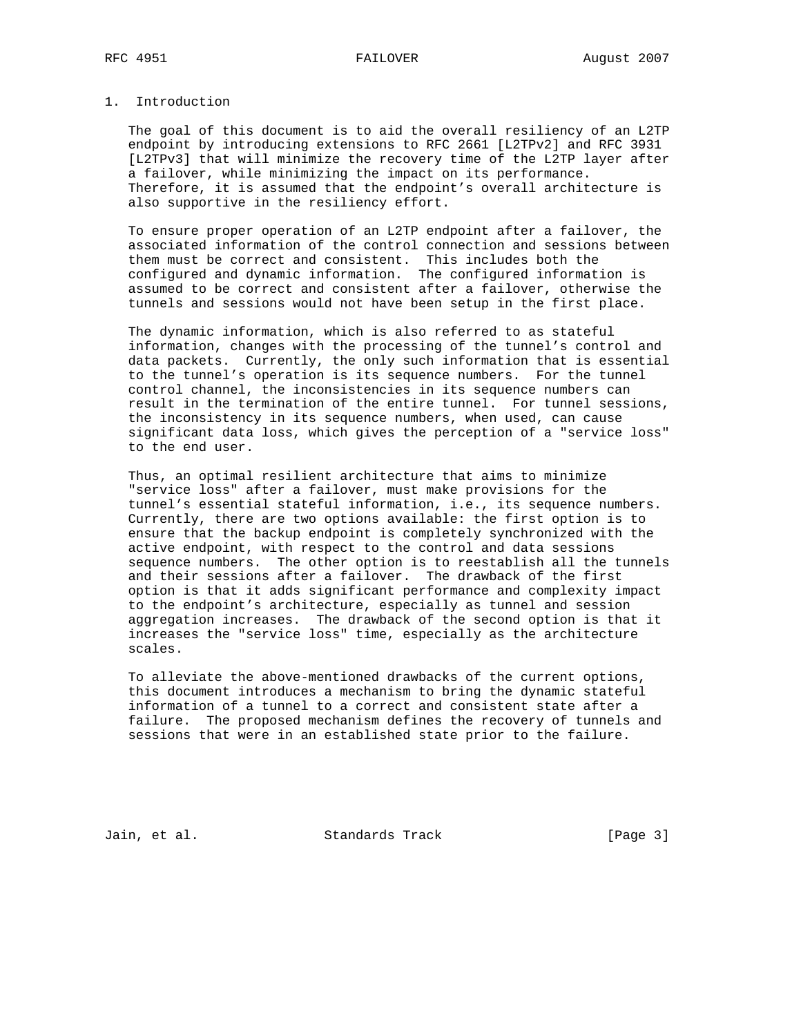## 1. Introduction

 The goal of this document is to aid the overall resiliency of an L2TP endpoint by introducing extensions to RFC 2661 [L2TPv2] and RFC 3931 [L2TPv3] that will minimize the recovery time of the L2TP layer after a failover, while minimizing the impact on its performance. Therefore, it is assumed that the endpoint's overall architecture is also supportive in the resiliency effort.

 To ensure proper operation of an L2TP endpoint after a failover, the associated information of the control connection and sessions between them must be correct and consistent. This includes both the configured and dynamic information. The configured information is assumed to be correct and consistent after a failover, otherwise the tunnels and sessions would not have been setup in the first place.

 The dynamic information, which is also referred to as stateful information, changes with the processing of the tunnel's control and data packets. Currently, the only such information that is essential to the tunnel's operation is its sequence numbers. For the tunnel control channel, the inconsistencies in its sequence numbers can result in the termination of the entire tunnel. For tunnel sessions, the inconsistency in its sequence numbers, when used, can cause significant data loss, which gives the perception of a "service loss" to the end user.

 Thus, an optimal resilient architecture that aims to minimize "service loss" after a failover, must make provisions for the tunnel's essential stateful information, i.e., its sequence numbers. Currently, there are two options available: the first option is to ensure that the backup endpoint is completely synchronized with the active endpoint, with respect to the control and data sessions sequence numbers. The other option is to reestablish all the tunnels and their sessions after a failover. The drawback of the first option is that it adds significant performance and complexity impact to the endpoint's architecture, especially as tunnel and session aggregation increases. The drawback of the second option is that it increases the "service loss" time, especially as the architecture scales.

 To alleviate the above-mentioned drawbacks of the current options, this document introduces a mechanism to bring the dynamic stateful information of a tunnel to a correct and consistent state after a failure. The proposed mechanism defines the recovery of tunnels and sessions that were in an established state prior to the failure.

Jain, et al. Standards Track [Page 3]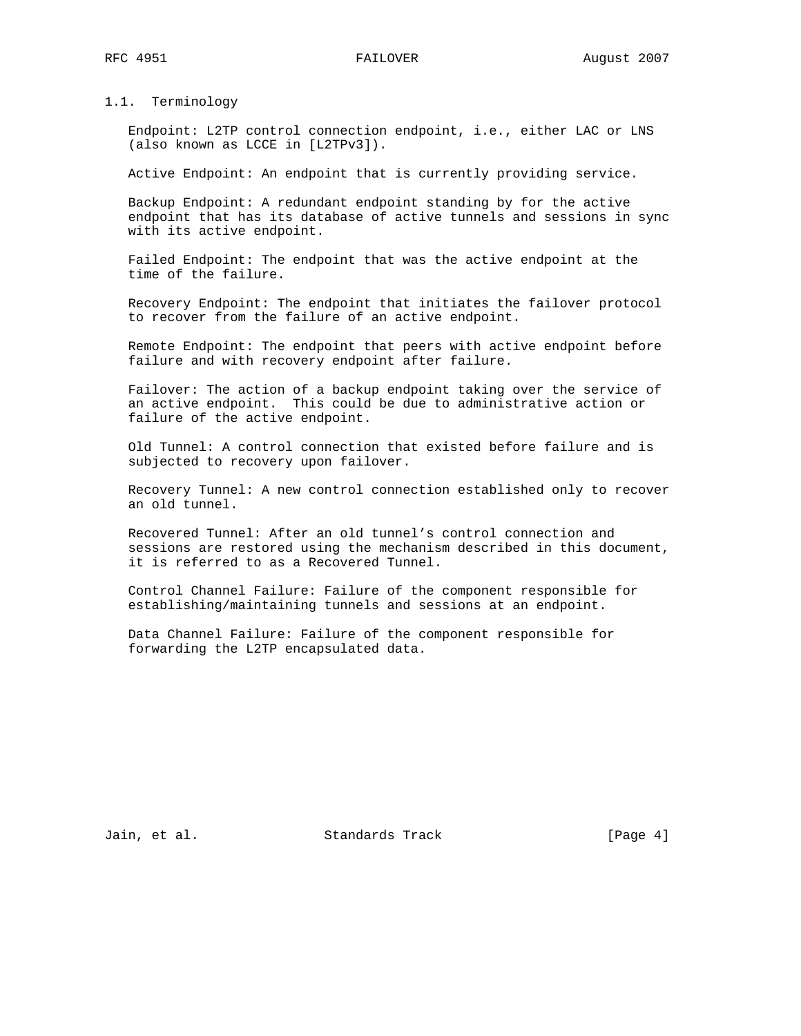### 1.1. Terminology

 Endpoint: L2TP control connection endpoint, i.e., either LAC or LNS (also known as LCCE in [L2TPv3]).

Active Endpoint: An endpoint that is currently providing service.

 Backup Endpoint: A redundant endpoint standing by for the active endpoint that has its database of active tunnels and sessions in sync with its active endpoint.

 Failed Endpoint: The endpoint that was the active endpoint at the time of the failure.

 Recovery Endpoint: The endpoint that initiates the failover protocol to recover from the failure of an active endpoint.

 Remote Endpoint: The endpoint that peers with active endpoint before failure and with recovery endpoint after failure.

 Failover: The action of a backup endpoint taking over the service of an active endpoint. This could be due to administrative action or failure of the active endpoint.

 Old Tunnel: A control connection that existed before failure and is subjected to recovery upon failover.

 Recovery Tunnel: A new control connection established only to recover an old tunnel.

 Recovered Tunnel: After an old tunnel's control connection and sessions are restored using the mechanism described in this document, it is referred to as a Recovered Tunnel.

 Control Channel Failure: Failure of the component responsible for establishing/maintaining tunnels and sessions at an endpoint.

 Data Channel Failure: Failure of the component responsible for forwarding the L2TP encapsulated data.

Jain, et al. Standards Track [Page 4]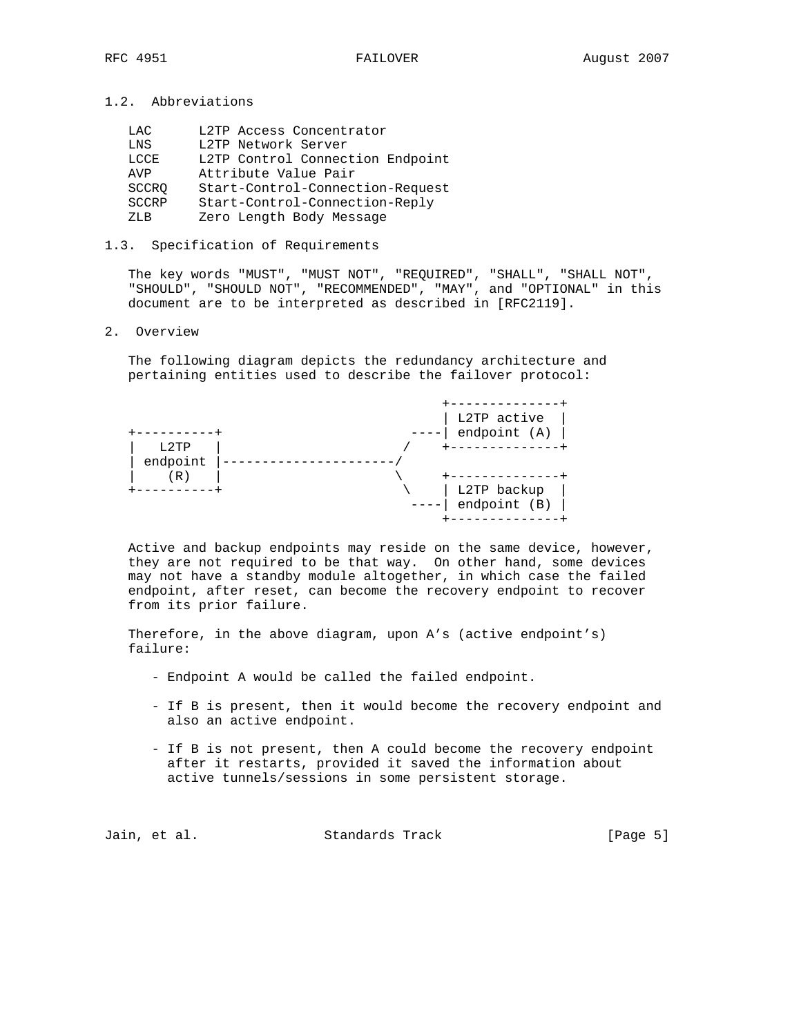1.2. Abbreviations

| LAC          | L2TP Access Concentrator         |
|--------------|----------------------------------|
| LNS          | L2TP Network Server              |
| LCCE         | L2TP Control Connection Endpoint |
| AVP          | Attribute Value Pair             |
| SCCRO        | Start-Control-Connection-Request |
| <b>SCCRP</b> | Start-Control-Connection-Reply   |
| 7.T.B        | Zero Length Body Message         |

### 1.3. Specification of Requirements

 The key words "MUST", "MUST NOT", "REQUIRED", "SHALL", "SHALL NOT", "SHOULD", "SHOULD NOT", "RECOMMENDED", "MAY", and "OPTIONAL" in this document are to be interpreted as described in [RFC2119].

### 2. Overview

 The following diagram depicts the redundancy architecture and pertaining entities used to describe the failover protocol:

|                         | L2TP active<br>endpoint $(A)$ |
|-------------------------|-------------------------------|
| L2TP<br>endpoint<br>(R) |                               |
|                         | L2TP backup<br>endpoint (B)   |

 Active and backup endpoints may reside on the same device, however, they are not required to be that way. On other hand, some devices may not have a standby module altogether, in which case the failed endpoint, after reset, can become the recovery endpoint to recover from its prior failure.

 Therefore, in the above diagram, upon A's (active endpoint's) failure:

- Endpoint A would be called the failed endpoint.
- If B is present, then it would become the recovery endpoint and also an active endpoint.
- If B is not present, then A could become the recovery endpoint after it restarts, provided it saved the information about active tunnels/sessions in some persistent storage.

| Jain, et al.<br>Standards Track | [Page 5] |
|---------------------------------|----------|
|---------------------------------|----------|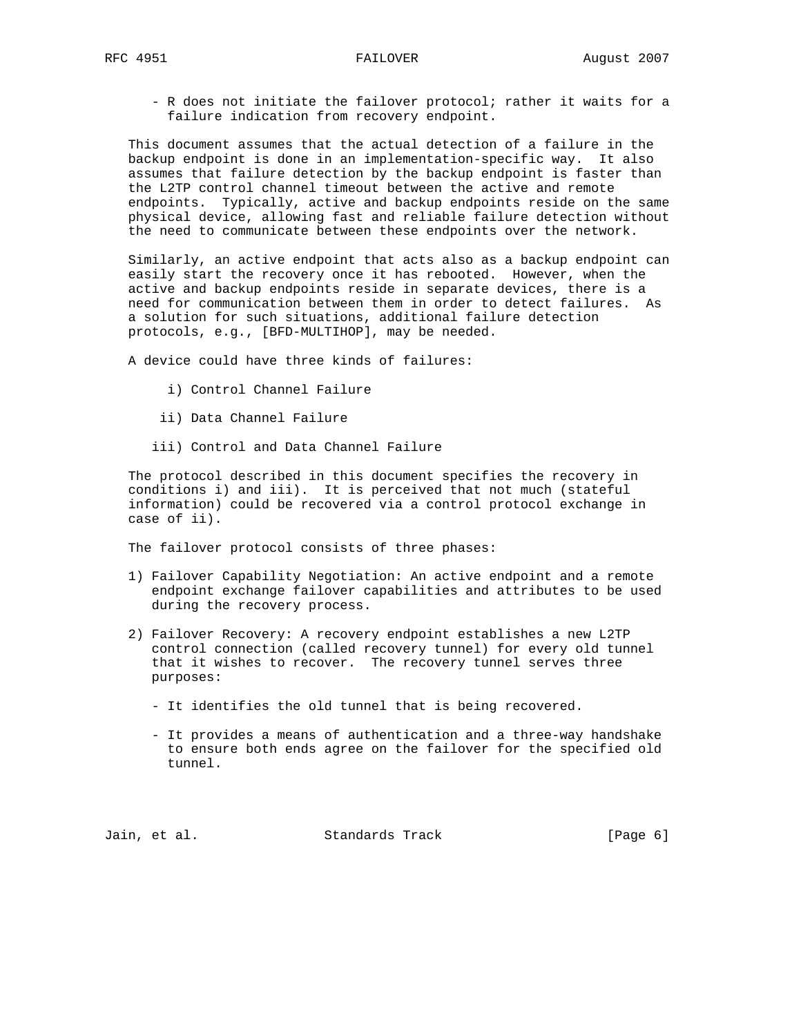- R does not initiate the failover protocol; rather it waits for a failure indication from recovery endpoint.

 This document assumes that the actual detection of a failure in the backup endpoint is done in an implementation-specific way. It also assumes that failure detection by the backup endpoint is faster than the L2TP control channel timeout between the active and remote endpoints. Typically, active and backup endpoints reside on the same physical device, allowing fast and reliable failure detection without the need to communicate between these endpoints over the network.

 Similarly, an active endpoint that acts also as a backup endpoint can easily start the recovery once it has rebooted. However, when the active and backup endpoints reside in separate devices, there is a need for communication between them in order to detect failures. As a solution for such situations, additional failure detection protocols, e.g., [BFD-MULTIHOP], may be needed.

A device could have three kinds of failures:

- i) Control Channel Failure
- ii) Data Channel Failure
- iii) Control and Data Channel Failure

 The protocol described in this document specifies the recovery in conditions i) and iii). It is perceived that not much (stateful information) could be recovered via a control protocol exchange in case of ii).

The failover protocol consists of three phases:

- 1) Failover Capability Negotiation: An active endpoint and a remote endpoint exchange failover capabilities and attributes to be used during the recovery process.
- 2) Failover Recovery: A recovery endpoint establishes a new L2TP control connection (called recovery tunnel) for every old tunnel that it wishes to recover. The recovery tunnel serves three purposes:
	- It identifies the old tunnel that is being recovered.
	- It provides a means of authentication and a three-way handshake to ensure both ends agree on the failover for the specified old tunnel.

Jain, et al. Standards Track [Page 6]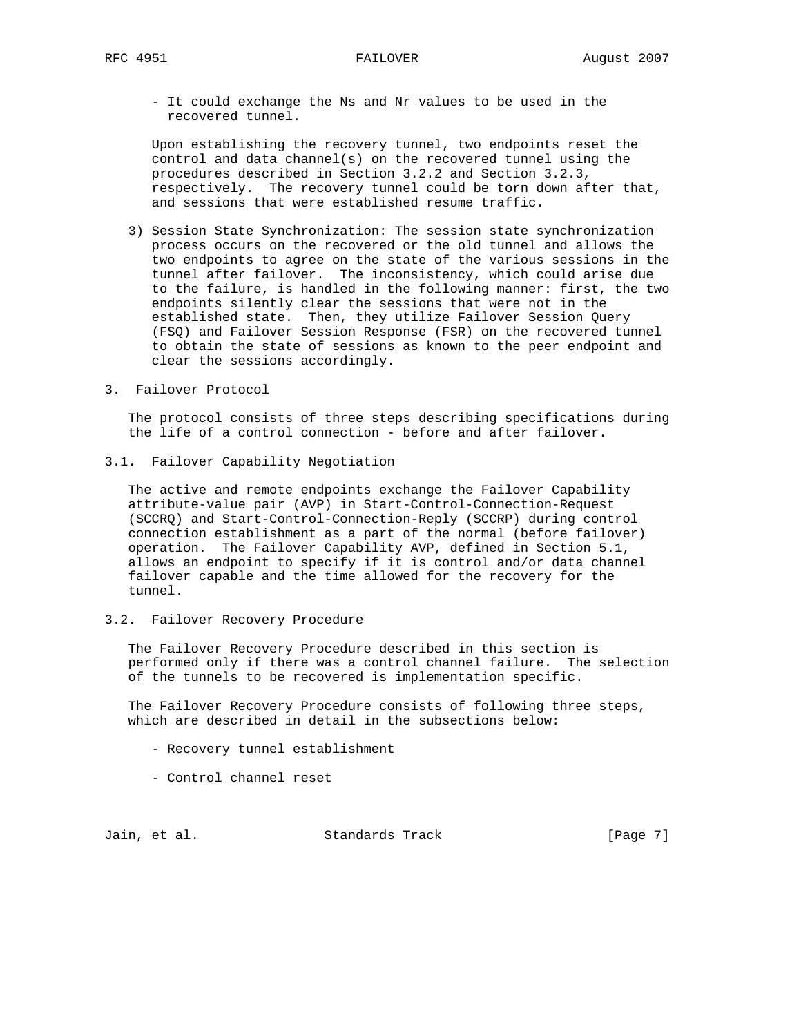- It could exchange the Ns and Nr values to be used in the recovered tunnel.

 Upon establishing the recovery tunnel, two endpoints reset the control and data channel(s) on the recovered tunnel using the procedures described in Section 3.2.2 and Section 3.2.3, respectively. The recovery tunnel could be torn down after that, and sessions that were established resume traffic.

- 3) Session State Synchronization: The session state synchronization process occurs on the recovered or the old tunnel and allows the two endpoints to agree on the state of the various sessions in the tunnel after failover. The inconsistency, which could arise due to the failure, is handled in the following manner: first, the two endpoints silently clear the sessions that were not in the established state. Then, they utilize Failover Session Query (FSQ) and Failover Session Response (FSR) on the recovered tunnel to obtain the state of sessions as known to the peer endpoint and clear the sessions accordingly.
- 3. Failover Protocol

 The protocol consists of three steps describing specifications during the life of a control connection - before and after failover.

3.1. Failover Capability Negotiation

 The active and remote endpoints exchange the Failover Capability attribute-value pair (AVP) in Start-Control-Connection-Request (SCCRQ) and Start-Control-Connection-Reply (SCCRP) during control connection establishment as a part of the normal (before failover) operation. The Failover Capability AVP, defined in Section 5.1, allows an endpoint to specify if it is control and/or data channel failover capable and the time allowed for the recovery for the tunnel.

3.2. Failover Recovery Procedure

 The Failover Recovery Procedure described in this section is performed only if there was a control channel failure. The selection of the tunnels to be recovered is implementation specific.

 The Failover Recovery Procedure consists of following three steps, which are described in detail in the subsections below:

- Recovery tunnel establishment
- Control channel reset

Jain, et al. Standards Track [Page 7]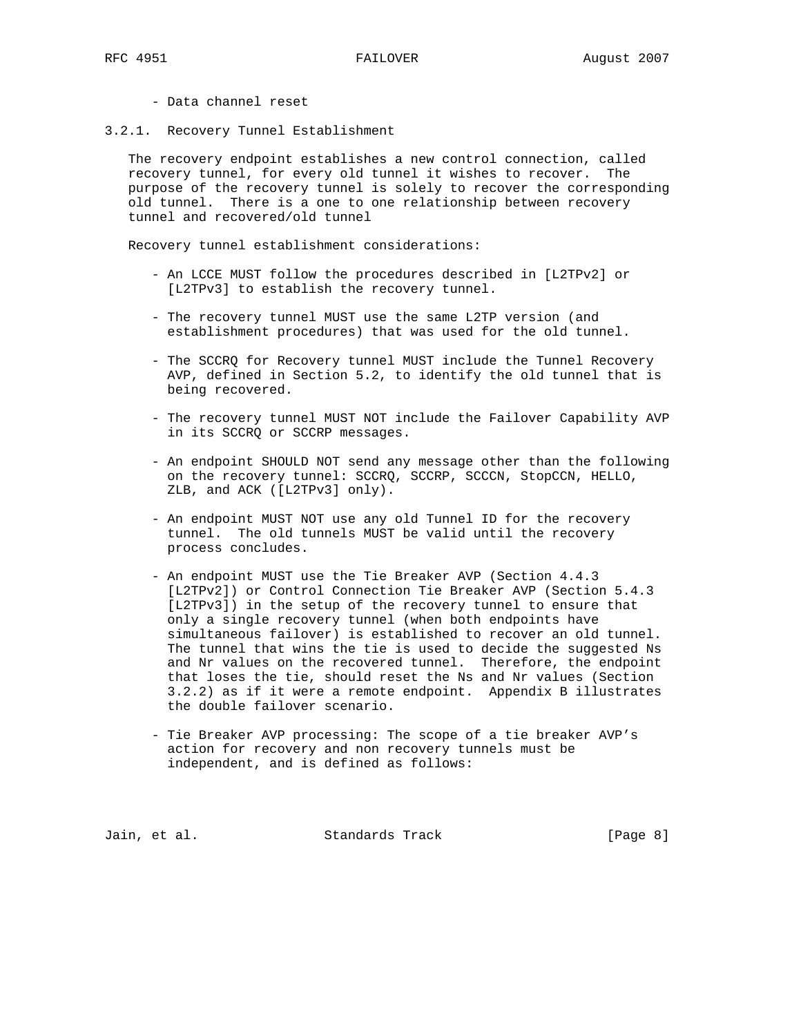- Data channel reset
- 3.2.1. Recovery Tunnel Establishment

 The recovery endpoint establishes a new control connection, called recovery tunnel, for every old tunnel it wishes to recover. The purpose of the recovery tunnel is solely to recover the corresponding old tunnel. There is a one to one relationship between recovery tunnel and recovered/old tunnel

Recovery tunnel establishment considerations:

- An LCCE MUST follow the procedures described in [L2TPv2] or [L2TPv3] to establish the recovery tunnel.
- The recovery tunnel MUST use the same L2TP version (and establishment procedures) that was used for the old tunnel.
- The SCCRQ for Recovery tunnel MUST include the Tunnel Recovery AVP, defined in Section 5.2, to identify the old tunnel that is being recovered.
- The recovery tunnel MUST NOT include the Failover Capability AVP in its SCCRQ or SCCRP messages.
- An endpoint SHOULD NOT send any message other than the following on the recovery tunnel: SCCRQ, SCCRP, SCCCN, StopCCN, HELLO, ZLB, and ACK ([L2TPv3] only).
- An endpoint MUST NOT use any old Tunnel ID for the recovery tunnel. The old tunnels MUST be valid until the recovery process concludes.
- An endpoint MUST use the Tie Breaker AVP (Section 4.4.3 [L2TPv2]) or Control Connection Tie Breaker AVP (Section 5.4.3 [L2TPv3]) in the setup of the recovery tunnel to ensure that only a single recovery tunnel (when both endpoints have simultaneous failover) is established to recover an old tunnel. The tunnel that wins the tie is used to decide the suggested Ns and Nr values on the recovered tunnel. Therefore, the endpoint that loses the tie, should reset the Ns and Nr values (Section 3.2.2) as if it were a remote endpoint. Appendix B illustrates the double failover scenario.
- Tie Breaker AVP processing: The scope of a tie breaker AVP's action for recovery and non recovery tunnels must be independent, and is defined as follows:

Jain, et al. Standards Track [Page 8]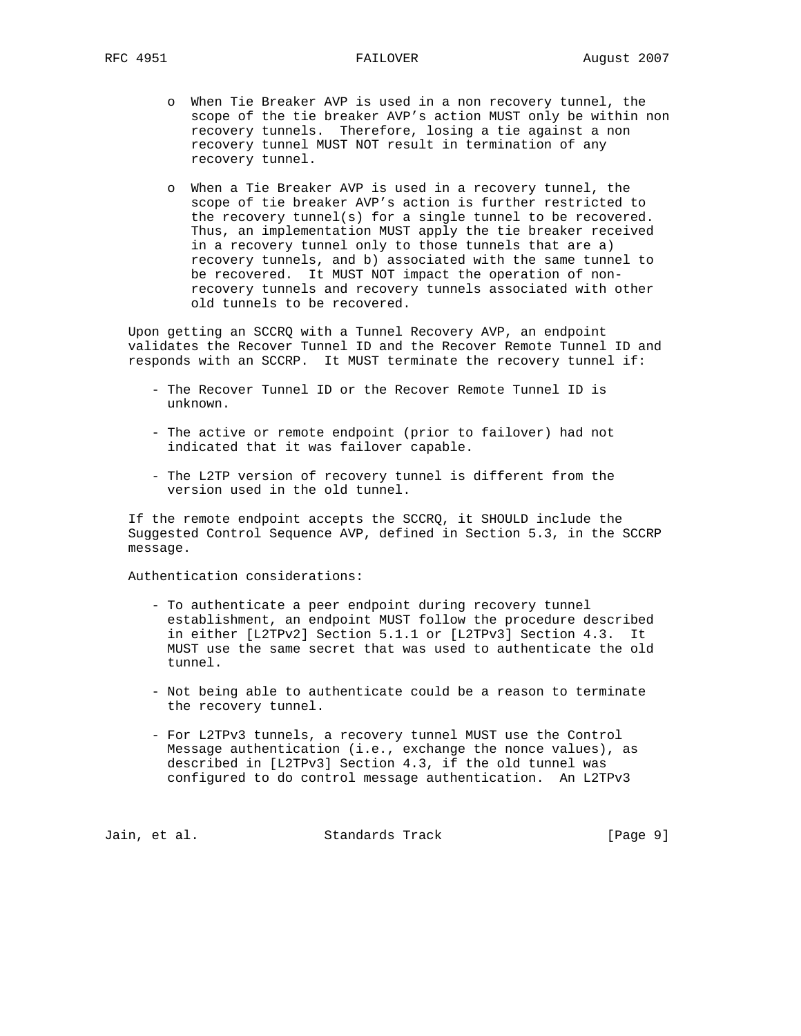- o When Tie Breaker AVP is used in a non recovery tunnel, the scope of the tie breaker AVP's action MUST only be within non recovery tunnels. Therefore, losing a tie against a non recovery tunnel MUST NOT result in termination of any recovery tunnel.
- o When a Tie Breaker AVP is used in a recovery tunnel, the scope of tie breaker AVP's action is further restricted to the recovery tunnel(s) for a single tunnel to be recovered. Thus, an implementation MUST apply the tie breaker received in a recovery tunnel only to those tunnels that are a) recovery tunnels, and b) associated with the same tunnel to be recovered. It MUST NOT impact the operation of non recovery tunnels and recovery tunnels associated with other old tunnels to be recovered.

 Upon getting an SCCRQ with a Tunnel Recovery AVP, an endpoint validates the Recover Tunnel ID and the Recover Remote Tunnel ID and responds with an SCCRP. It MUST terminate the recovery tunnel if:

- The Recover Tunnel ID or the Recover Remote Tunnel ID is unknown.
- The active or remote endpoint (prior to failover) had not indicated that it was failover capable.
- The L2TP version of recovery tunnel is different from the version used in the old tunnel.

 If the remote endpoint accepts the SCCRQ, it SHOULD include the Suggested Control Sequence AVP, defined in Section 5.3, in the SCCRP message.

Authentication considerations:

- To authenticate a peer endpoint during recovery tunnel establishment, an endpoint MUST follow the procedure described in either [L2TPv2] Section 5.1.1 or [L2TPv3] Section 4.3. It MUST use the same secret that was used to authenticate the old tunnel.
- Not being able to authenticate could be a reason to terminate the recovery tunnel.
- For L2TPv3 tunnels, a recovery tunnel MUST use the Control Message authentication (i.e., exchange the nonce values), as described in [L2TPv3] Section 4.3, if the old tunnel was configured to do control message authentication. An L2TPv3

Jain, et al. Standards Track [Page 9]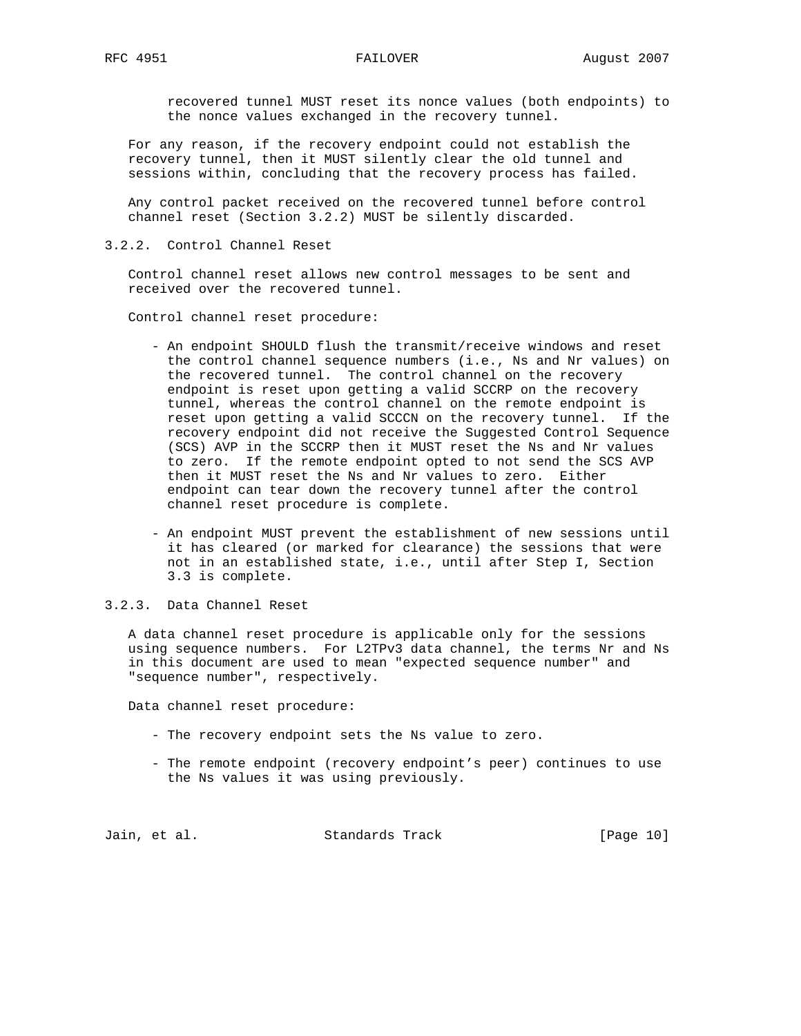recovered tunnel MUST reset its nonce values (both endpoints) to the nonce values exchanged in the recovery tunnel.

 For any reason, if the recovery endpoint could not establish the recovery tunnel, then it MUST silently clear the old tunnel and sessions within, concluding that the recovery process has failed.

 Any control packet received on the recovered tunnel before control channel reset (Section 3.2.2) MUST be silently discarded.

3.2.2. Control Channel Reset

 Control channel reset allows new control messages to be sent and received over the recovered tunnel.

Control channel reset procedure:

- An endpoint SHOULD flush the transmit/receive windows and reset the control channel sequence numbers (i.e., Ns and Nr values) on the recovered tunnel. The control channel on the recovery endpoint is reset upon getting a valid SCCRP on the recovery tunnel, whereas the control channel on the remote endpoint is reset upon getting a valid SCCCN on the recovery tunnel. If the recovery endpoint did not receive the Suggested Control Sequence (SCS) AVP in the SCCRP then it MUST reset the Ns and Nr values to zero. If the remote endpoint opted to not send the SCS AVP then it MUST reset the Ns and Nr values to zero. Either endpoint can tear down the recovery tunnel after the control channel reset procedure is complete.
- An endpoint MUST prevent the establishment of new sessions until it has cleared (or marked for clearance) the sessions that were not in an established state, i.e., until after Step I, Section 3.3 is complete.
- 3.2.3. Data Channel Reset

 A data channel reset procedure is applicable only for the sessions using sequence numbers. For L2TPv3 data channel, the terms Nr and Ns in this document are used to mean "expected sequence number" and "sequence number", respectively.

Data channel reset procedure:

- The recovery endpoint sets the Ns value to zero.
- The remote endpoint (recovery endpoint's peer) continues to use the Ns values it was using previously.

Jain, et al. Standards Track [Page 10]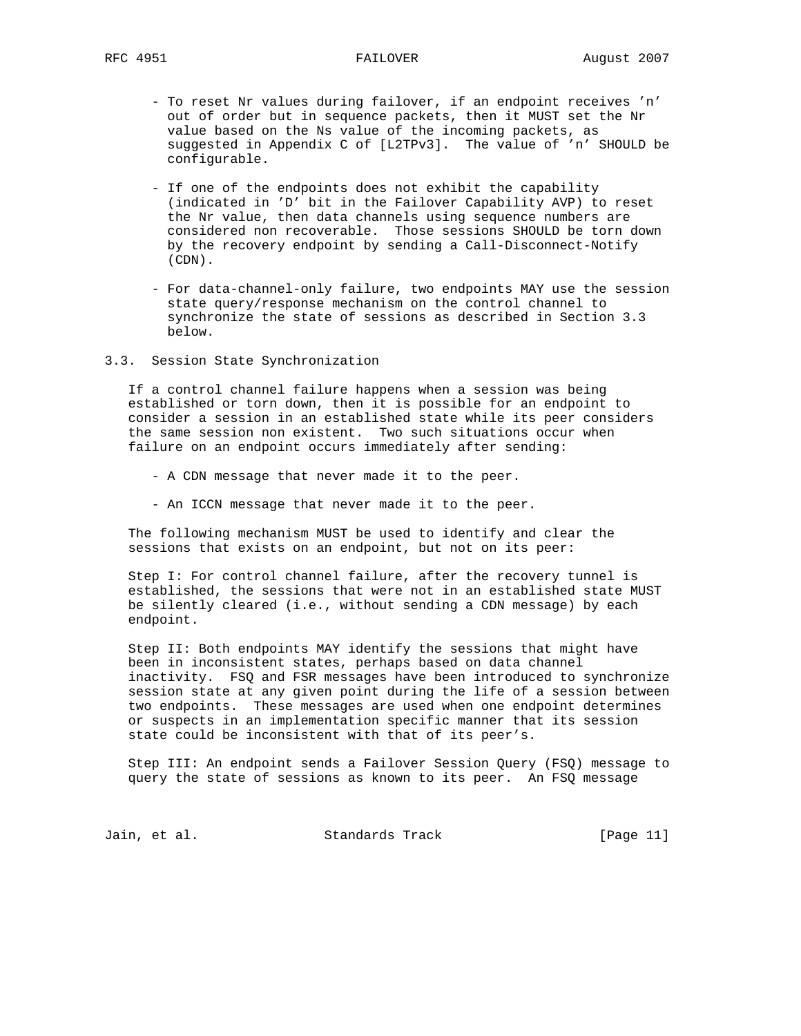- To reset Nr values during failover, if an endpoint receives 'n' out of order but in sequence packets, then it MUST set the Nr value based on the Ns value of the incoming packets, as suggested in Appendix C of [L2TPv3]. The value of 'n' SHOULD be configurable.
- If one of the endpoints does not exhibit the capability (indicated in 'D' bit in the Failover Capability AVP) to reset the Nr value, then data channels using sequence numbers are considered non recoverable. Those sessions SHOULD be torn down by the recovery endpoint by sending a Call-Disconnect-Notify (CDN).
- For data-channel-only failure, two endpoints MAY use the session state query/response mechanism on the control channel to synchronize the state of sessions as described in Section 3.3 below.
- 3.3. Session State Synchronization

 If a control channel failure happens when a session was being established or torn down, then it is possible for an endpoint to consider a session in an established state while its peer considers the same session non existent. Two such situations occur when failure on an endpoint occurs immediately after sending:

- A CDN message that never made it to the peer.
- An ICCN message that never made it to the peer.

 The following mechanism MUST be used to identify and clear the sessions that exists on an endpoint, but not on its peer:

 Step I: For control channel failure, after the recovery tunnel is established, the sessions that were not in an established state MUST be silently cleared (i.e., without sending a CDN message) by each endpoint.

 Step II: Both endpoints MAY identify the sessions that might have been in inconsistent states, perhaps based on data channel inactivity. FSQ and FSR messages have been introduced to synchronize session state at any given point during the life of a session between two endpoints. These messages are used when one endpoint determines or suspects in an implementation specific manner that its session state could be inconsistent with that of its peer's.

 Step III: An endpoint sends a Failover Session Query (FSQ) message to query the state of sessions as known to its peer. An FSQ message

Jain, et al. Standards Track [Page 11]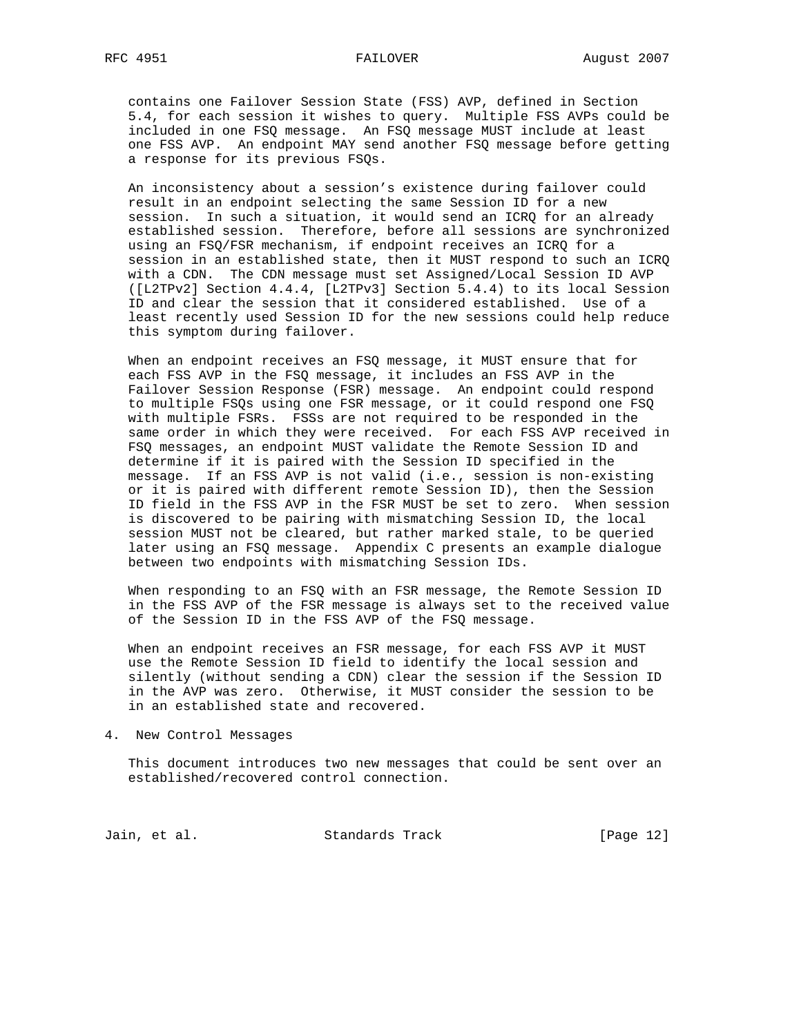# RFC 4951 FAILOVER August 2007

 contains one Failover Session State (FSS) AVP, defined in Section 5.4, for each session it wishes to query. Multiple FSS AVPs could be included in one FSQ message. An FSQ message MUST include at least one FSS AVP. An endpoint MAY send another FSQ message before getting a response for its previous FSQs.

 An inconsistency about a session's existence during failover could result in an endpoint selecting the same Session ID for a new session. In such a situation, it would send an ICRQ for an already established session. Therefore, before all sessions are synchronized using an FSQ/FSR mechanism, if endpoint receives an ICRQ for a session in an established state, then it MUST respond to such an ICRQ with a CDN. The CDN message must set Assigned/Local Session ID AVP ([L2TPv2] Section 4.4.4, [L2TPv3] Section 5.4.4) to its local Session ID and clear the session that it considered established. Use of a least recently used Session ID for the new sessions could help reduce this symptom during failover.

 When an endpoint receives an FSQ message, it MUST ensure that for each FSS AVP in the FSQ message, it includes an FSS AVP in the Failover Session Response (FSR) message. An endpoint could respond to multiple FSQs using one FSR message, or it could respond one FSQ with multiple FSRs. FSSs are not required to be responded in the same order in which they were received. For each FSS AVP received in FSQ messages, an endpoint MUST validate the Remote Session ID and determine if it is paired with the Session ID specified in the message. If an FSS AVP is not valid (i.e., session is non-existing or it is paired with different remote Session ID), then the Session ID field in the FSS AVP in the FSR MUST be set to zero. When session is discovered to be pairing with mismatching Session ID, the local session MUST not be cleared, but rather marked stale, to be queried later using an FSQ message. Appendix C presents an example dialogue between two endpoints with mismatching Session IDs.

 When responding to an FSQ with an FSR message, the Remote Session ID in the FSS AVP of the FSR message is always set to the received value of the Session ID in the FSS AVP of the FSQ message.

 When an endpoint receives an FSR message, for each FSS AVP it MUST use the Remote Session ID field to identify the local session and silently (without sending a CDN) clear the session if the Session ID in the AVP was zero. Otherwise, it MUST consider the session to be in an established state and recovered.

4. New Control Messages

 This document introduces two new messages that could be sent over an established/recovered control connection.

Jain, et al. Standards Track [Page 12]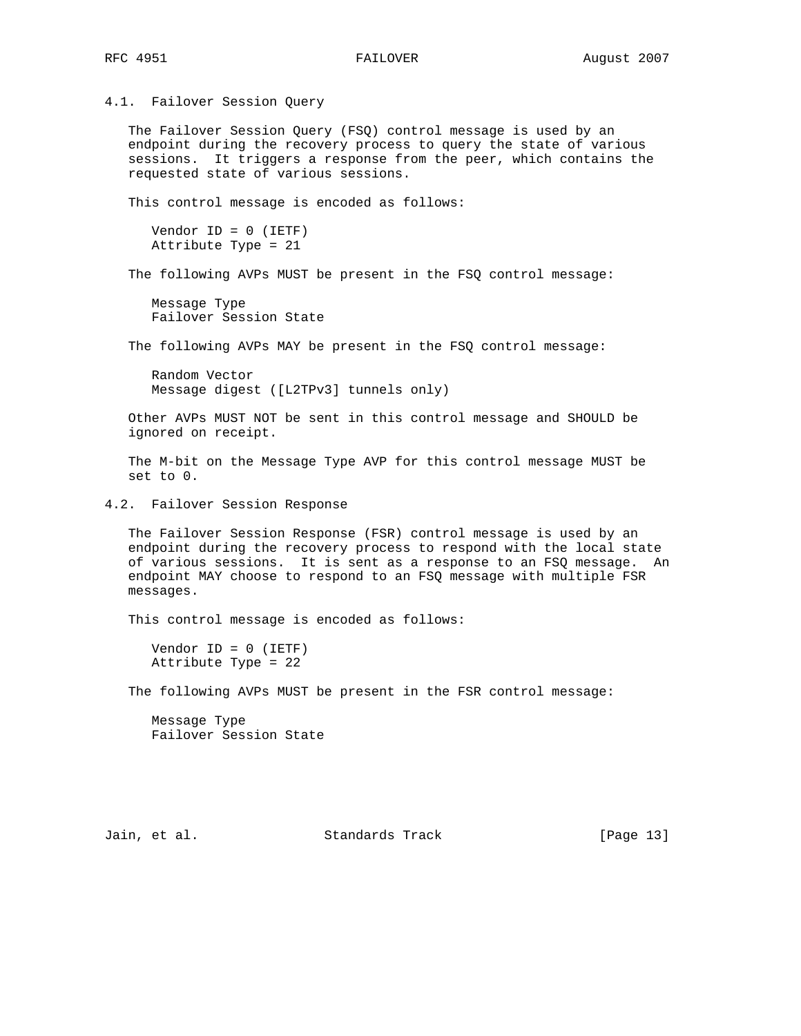4.1. Failover Session Query

 The Failover Session Query (FSQ) control message is used by an endpoint during the recovery process to query the state of various sessions. It triggers a response from the peer, which contains the requested state of various sessions.

This control message is encoded as follows:

```
 Vendor ID = 0 (IETF)
 Attribute Type = 21
```
The following AVPs MUST be present in the FSQ control message:

 Message Type Failover Session State

The following AVPs MAY be present in the FSQ control message:

 Random Vector Message digest ([L2TPv3] tunnels only)

 Other AVPs MUST NOT be sent in this control message and SHOULD be ignored on receipt.

 The M-bit on the Message Type AVP for this control message MUST be set to 0.

4.2. Failover Session Response

 The Failover Session Response (FSR) control message is used by an endpoint during the recovery process to respond with the local state of various sessions. It is sent as a response to an FSQ message. An endpoint MAY choose to respond to an FSQ message with multiple FSR messages.

This control message is encoded as follows:

 Vendor ID = 0 (IETF) Attribute Type = 22

The following AVPs MUST be present in the FSR control message:

 Message Type Failover Session State

Jain, et al. Standards Track [Page 13]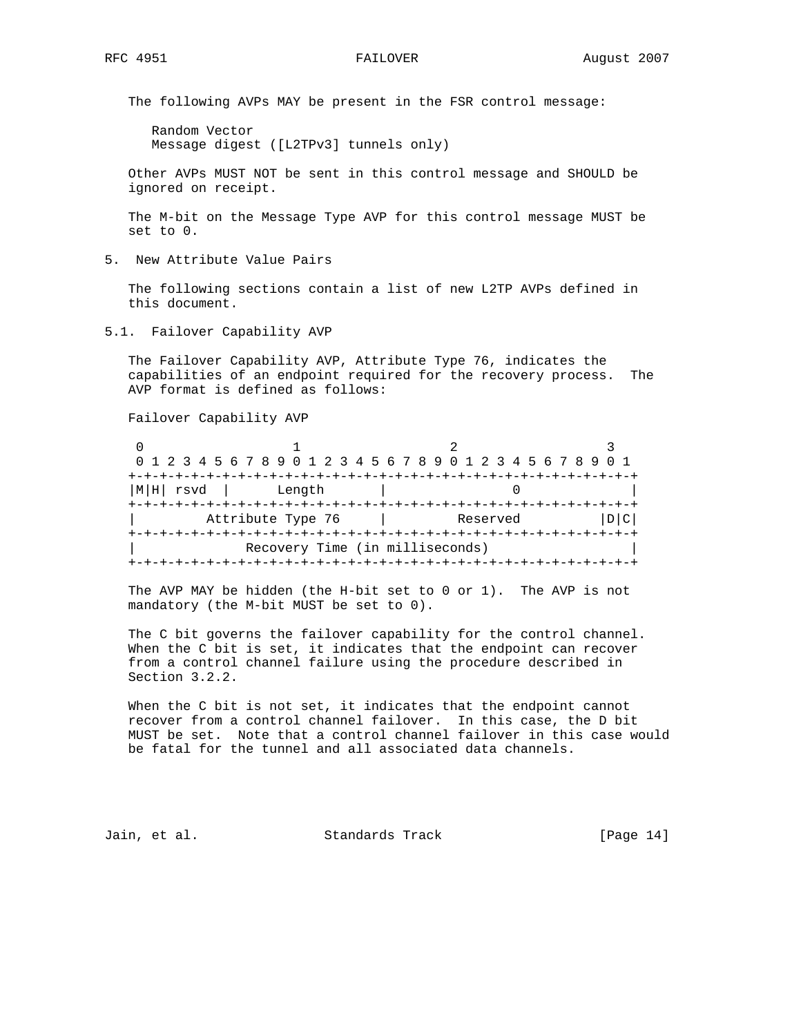The following AVPs MAY be present in the FSR control message:

 Random Vector Message digest ([L2TPv3] tunnels only)

 Other AVPs MUST NOT be sent in this control message and SHOULD be ignored on receipt.

 The M-bit on the Message Type AVP for this control message MUST be set to 0.

5. New Attribute Value Pairs

 The following sections contain a list of new L2TP AVPs defined in this document.

5.1. Failover Capability AVP

 The Failover Capability AVP, Attribute Type 76, indicates the capabilities of an endpoint required for the recovery process. The AVP format is defined as follows:

Failover Capability AVP

|              | 0 1 2 3 4 5 6 7 8 9 0 1 2 3 4 5 6 7 8 9 0 1 2 3 4 5 6 7 8 9 0 1 |                                         |  |
|--------------|-----------------------------------------------------------------|-----------------------------------------|--|
|              |                                                                 |                                         |  |
| $ M H $ rsvd | Length                                                          |                                         |  |
|              |                                                                 |                                         |  |
|              | Attribute Type 76                                               | Reserved                                |  |
|              |                                                                 | --+-+-+-+-+-+-+-+-+-+-+-+-+-+-+-+-+-+-+ |  |
|              | Recovery Time (in milliseconds)                                 |                                         |  |
|              |                                                                 |                                         |  |

 The AVP MAY be hidden (the H-bit set to 0 or 1). The AVP is not mandatory (the M-bit MUST be set to 0).

 The C bit governs the failover capability for the control channel. When the C bit is set, it indicates that the endpoint can recover from a control channel failure using the procedure described in Section 3.2.2.

 When the C bit is not set, it indicates that the endpoint cannot recover from a control channel failover. In this case, the D bit MUST be set. Note that a control channel failover in this case would be fatal for the tunnel and all associated data channels.

Jain, et al. Standards Track [Page 14]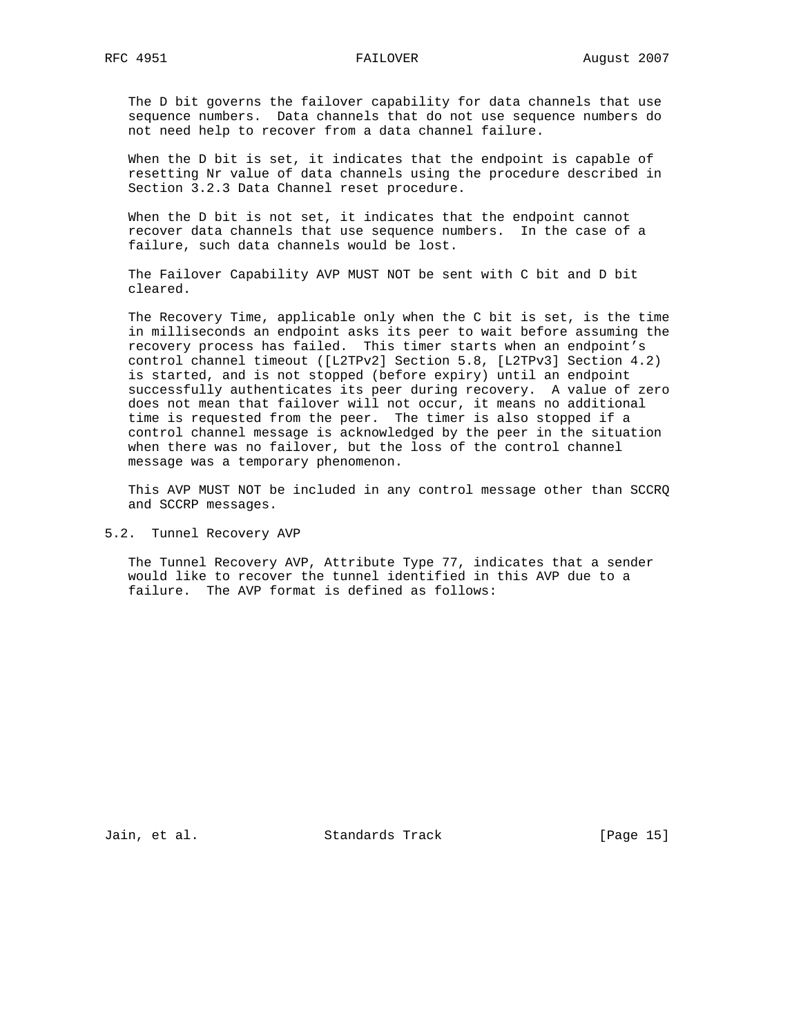The D bit governs the failover capability for data channels that use sequence numbers. Data channels that do not use sequence numbers do not need help to recover from a data channel failure.

 When the D bit is set, it indicates that the endpoint is capable of resetting Nr value of data channels using the procedure described in Section 3.2.3 Data Channel reset procedure.

 When the D bit is not set, it indicates that the endpoint cannot recover data channels that use sequence numbers. In the case of a failure, such data channels would be lost.

 The Failover Capability AVP MUST NOT be sent with C bit and D bit cleared.

 The Recovery Time, applicable only when the C bit is set, is the time in milliseconds an endpoint asks its peer to wait before assuming the recovery process has failed. This timer starts when an endpoint's control channel timeout ([L2TPv2] Section 5.8, [L2TPv3] Section 4.2) is started, and is not stopped (before expiry) until an endpoint successfully authenticates its peer during recovery. A value of zero does not mean that failover will not occur, it means no additional time is requested from the peer. The timer is also stopped if a control channel message is acknowledged by the peer in the situation when there was no failover, but the loss of the control channel message was a temporary phenomenon.

 This AVP MUST NOT be included in any control message other than SCCRQ and SCCRP messages.

5.2. Tunnel Recovery AVP

 The Tunnel Recovery AVP, Attribute Type 77, indicates that a sender would like to recover the tunnel identified in this AVP due to a failure. The AVP format is defined as follows:

Jain, et al. Standards Track [Page 15]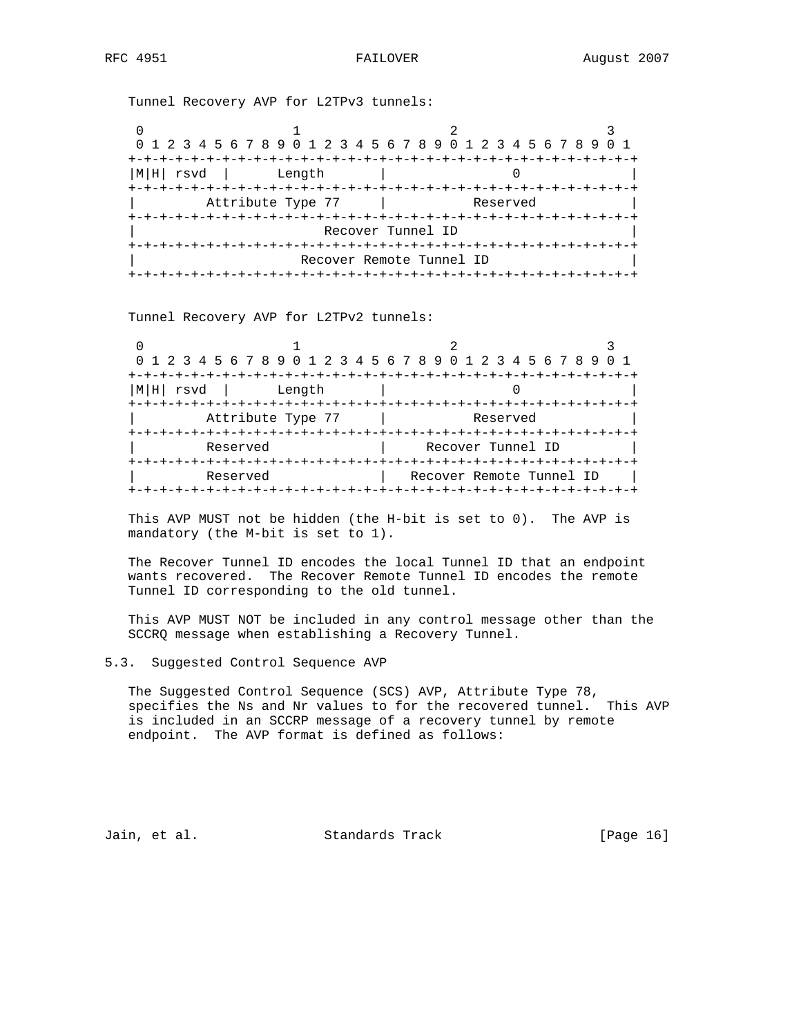Tunnel Recovery AVP for L2TPv3 tunnels:

|              | 0 1 2 3 4 5 6 7 8 9 0 1 2 3 4 5 6 7 8 9 0 1 2 3 4 5 6 7 8 9 0 1 |                          |  |
|--------------|-----------------------------------------------------------------|--------------------------|--|
|              |                                                                 |                          |  |
| M H <br>rsvd | Length                                                          |                          |  |
|              |                                                                 |                          |  |
|              | Attribute Type 77                                               | Reserved                 |  |
|              |                                                                 |                          |  |
|              |                                                                 | Recover Tunnel ID        |  |
|              |                                                                 |                          |  |
|              |                                                                 | Recover Remote Tunnel ID |  |
|              | +-+-+-+-+-+-+-+-+-+-+-+                                         |                          |  |

Tunnel Recovery AVP for L2TPv2 tunnels:

| 0 1 2 3 4 5 6 7 8 9 0 1 2 3 4 5 6 7 8 9 0 1 2 3 4 5 6 7 8 9 |                                                           |
|-------------------------------------------------------------|-----------------------------------------------------------|
| M H <br>rsvd<br>Length                                      |                                                           |
|                                                             |                                                           |
| Attribute Type 77                                           | Reserved                                                  |
| Reserved                                                    | -+-+-+-+-+-+-+-+-+-+-+-+-+-+-+-+-+-+<br>Recover Tunnel ID |
| Reserved                                                    | Recover Remote Tunnel ID                                  |

 This AVP MUST not be hidden (the H-bit is set to 0). The AVP is mandatory (the M-bit is set to 1).

 The Recover Tunnel ID encodes the local Tunnel ID that an endpoint wants recovered. The Recover Remote Tunnel ID encodes the remote Tunnel ID corresponding to the old tunnel.

 This AVP MUST NOT be included in any control message other than the SCCRQ message when establishing a Recovery Tunnel.

5.3. Suggested Control Sequence AVP

 The Suggested Control Sequence (SCS) AVP, Attribute Type 78, specifies the Ns and Nr values to for the recovered tunnel. This AVP is included in an SCCRP message of a recovery tunnel by remote endpoint. The AVP format is defined as follows:

Jain, et al. Standards Track [Page 16]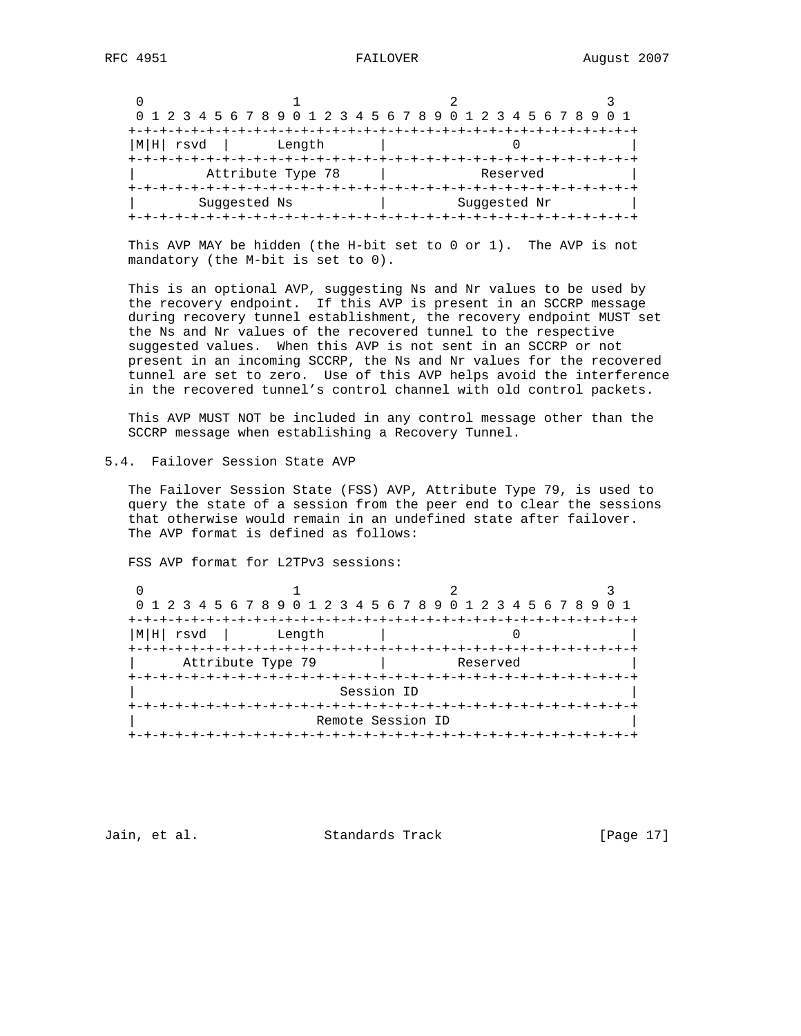|                |                   | 0 1 2 3 4 5 6 7 8 9 0 1 2 3 4 5 6 7 8 9 0 1 2 3 4 5 6 7 8 9 |  |
|----------------|-------------------|-------------------------------------------------------------|--|
|                |                   |                                                             |  |
| ' rsvd<br> M H | Length            |                                                             |  |
|                |                   |                                                             |  |
|                | Attribute Type 78 | Reserved                                                    |  |
|                |                   |                                                             |  |
|                | Suggested Ns      | Suggested Nr                                                |  |
|                |                   |                                                             |  |

 This AVP MAY be hidden (the H-bit set to 0 or 1). The AVP is not mandatory (the M-bit is set to 0).

 This is an optional AVP, suggesting Ns and Nr values to be used by the recovery endpoint. If this AVP is present in an SCCRP message during recovery tunnel establishment, the recovery endpoint MUST set the Ns and Nr values of the recovered tunnel to the respective suggested values. When this AVP is not sent in an SCCRP or not present in an incoming SCCRP, the Ns and Nr values for the recovered tunnel are set to zero. Use of this AVP helps avoid the interference in the recovered tunnel's control channel with old control packets.

 This AVP MUST NOT be included in any control message other than the SCCRP message when establishing a Recovery Tunnel.

5.4. Failover Session State AVP

 The Failover Session State (FSS) AVP, Attribute Type 79, is used to query the state of a session from the peer end to clear the sessions that otherwise would remain in an undefined state after failover. The AVP format is defined as follows:

FSS AVP format for L2TPv3 sessions:

|                   |                 | 0 1 2 3 4 5 6 7 8 9 0 1 2 3 4 5 6 7 8 9 0 1 2 3 4 5 6 7 8 9 |  |
|-------------------|-----------------|-------------------------------------------------------------|--|
|                   |                 |                                                             |  |
| M H <br>rsvd      | Length          |                                                             |  |
|                   |                 |                                                             |  |
| Attribute Type 79 |                 | Reserved                                                    |  |
|                   | +-+-+-+-+-+-+-  |                                                             |  |
|                   |                 | Session ID                                                  |  |
|                   | -+-+-+-+-+-+-+- |                                                             |  |
|                   |                 | Remote Session ID                                           |  |
|                   |                 |                                                             |  |

Jain, et al. Standards Track [Page 17]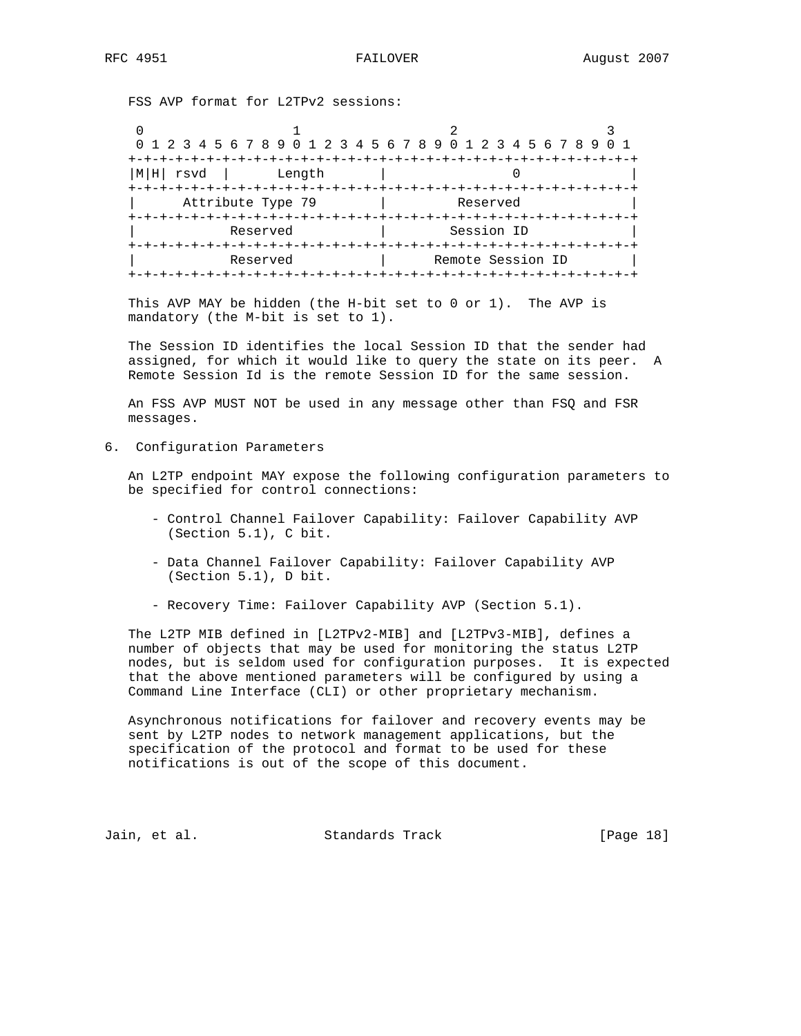FSS AVP format for L2TPv2 sessions:

|             |                                    | 0 1 2 3 4 5 6 7 8 9 0 1 2 3 4 5 6 7 8 9 0 1 2 3 4 5 6 7 8 9 |  |
|-------------|------------------------------------|-------------------------------------------------------------|--|
| rsvd<br>M H | Length                             |                                                             |  |
|             | Attribute Type 79                  | Reserved                                                    |  |
|             | -+-+-+-+-+-+-+-+-+-+-+<br>Reserved | Session ID                                                  |  |
|             | Reserved                           | Remote Session ID                                           |  |

 This AVP MAY be hidden (the H-bit set to 0 or 1). The AVP is mandatory (the M-bit is set to 1).

 The Session ID identifies the local Session ID that the sender had assigned, for which it would like to query the state on its peer. A Remote Session Id is the remote Session ID for the same session.

 An FSS AVP MUST NOT be used in any message other than FSQ and FSR messages.

6. Configuration Parameters

 An L2TP endpoint MAY expose the following configuration parameters to be specified for control connections:

- Control Channel Failover Capability: Failover Capability AVP (Section 5.1), C bit.
- Data Channel Failover Capability: Failover Capability AVP (Section 5.1), D bit.
- Recovery Time: Failover Capability AVP (Section 5.1).

 The L2TP MIB defined in [L2TPv2-MIB] and [L2TPv3-MIB], defines a number of objects that may be used for monitoring the status L2TP nodes, but is seldom used for configuration purposes. It is expected that the above mentioned parameters will be configured by using a Command Line Interface (CLI) or other proprietary mechanism.

 Asynchronous notifications for failover and recovery events may be sent by L2TP nodes to network management applications, but the specification of the protocol and format to be used for these notifications is out of the scope of this document.

Jain, et al. Standards Track [Page 18]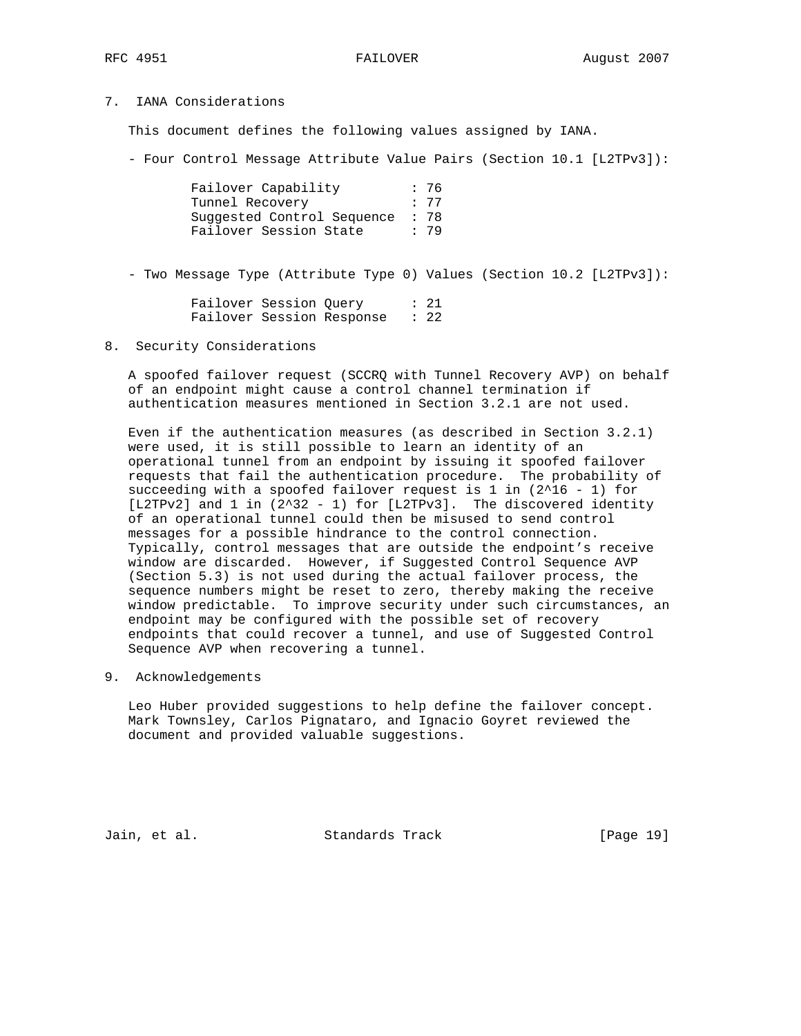# 7. IANA Considerations

This document defines the following values assigned by IANA.

- Four Control Message Attribute Value Pairs (Section 10.1 [L2TPv3]):

| Failover Capability        | : 76 |
|----------------------------|------|
| Tunnel Recovery            | : 77 |
| Suggested Control Sequence | : 78 |
| Failover Session State     | : 79 |

- Two Message Type (Attribute Type 0) Values (Section 10.2 [L2TPv3]):

| Failover Session Ouery |                           | : 21            |
|------------------------|---------------------------|-----------------|
|                        | Failover Session Response | $\therefore$ 22 |

8. Security Considerations

 A spoofed failover request (SCCRQ with Tunnel Recovery AVP) on behalf of an endpoint might cause a control channel termination if authentication measures mentioned in Section 3.2.1 are not used.

 Even if the authentication measures (as described in Section 3.2.1) were used, it is still possible to learn an identity of an operational tunnel from an endpoint by issuing it spoofed failover requests that fail the authentication procedure. The probability of succeeding with a spoofed failover request is  $1$  in ( $2^16 - 1$ ) for [L2TPv2] and 1 in (2^32 - 1) for [L2TPv3]. The discovered identity of an operational tunnel could then be misused to send control messages for a possible hindrance to the control connection. Typically, control messages that are outside the endpoint's receive window are discarded. However, if Suggested Control Sequence AVP (Section 5.3) is not used during the actual failover process, the sequence numbers might be reset to zero, thereby making the receive window predictable. To improve security under such circumstances, an endpoint may be configured with the possible set of recovery endpoints that could recover a tunnel, and use of Suggested Control Sequence AVP when recovering a tunnel.

9. Acknowledgements

 Leo Huber provided suggestions to help define the failover concept. Mark Townsley, Carlos Pignataro, and Ignacio Goyret reviewed the document and provided valuable suggestions.

Jain, et al. Standards Track [Page 19]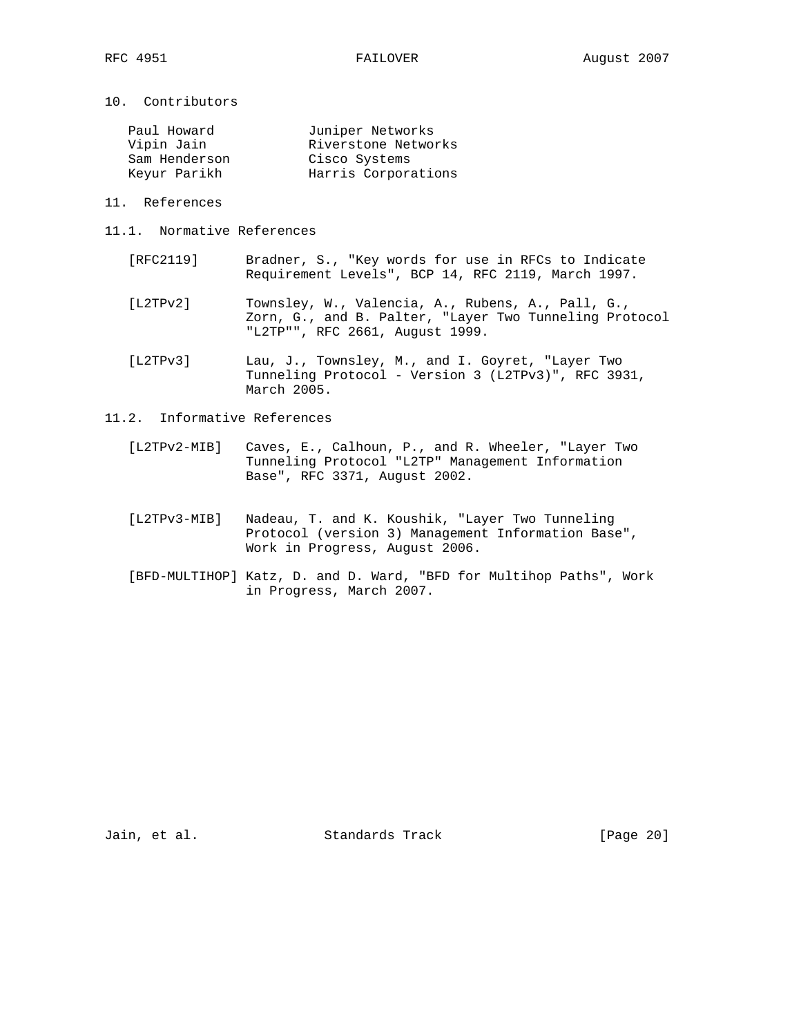10. Contributors

| Paul Howard   | Juniper Networks    |
|---------------|---------------------|
| Vipin Jain    | Riverstone Networks |
| Sam Henderson | Cisco Systems       |
| Keyur Parikh  | Harris Corporations |

- 11. References
- 11.1. Normative References
	- [RFC2119] Bradner, S., "Key words for use in RFCs to Indicate Requirement Levels", BCP 14, RFC 2119, March 1997.
	- [L2TPv2] Townsley, W., Valencia, A., Rubens, A., Pall, G., Zorn, G., and B. Palter, "Layer Two Tunneling Protocol "L2TP"", RFC 2661, August 1999.
	- [L2TPv3] Lau, J., Townsley, M., and I. Goyret, "Layer Two Tunneling Protocol - Version 3 (L2TPv3)", RFC 3931, March 2005.
- 11.2. Informative References
	- [L2TPv2-MIB] Caves, E., Calhoun, P., and R. Wheeler, "Layer Two Tunneling Protocol "L2TP" Management Information Base", RFC 3371, August 2002.
	- [L2TPv3-MIB] Nadeau, T. and K. Koushik, "Layer Two Tunneling Protocol (version 3) Management Information Base", Work in Progress, August 2006.
	- [BFD-MULTIHOP] Katz, D. and D. Ward, "BFD for Multihop Paths", Work in Progress, March 2007.

Jain, et al. Standards Track [Page 20]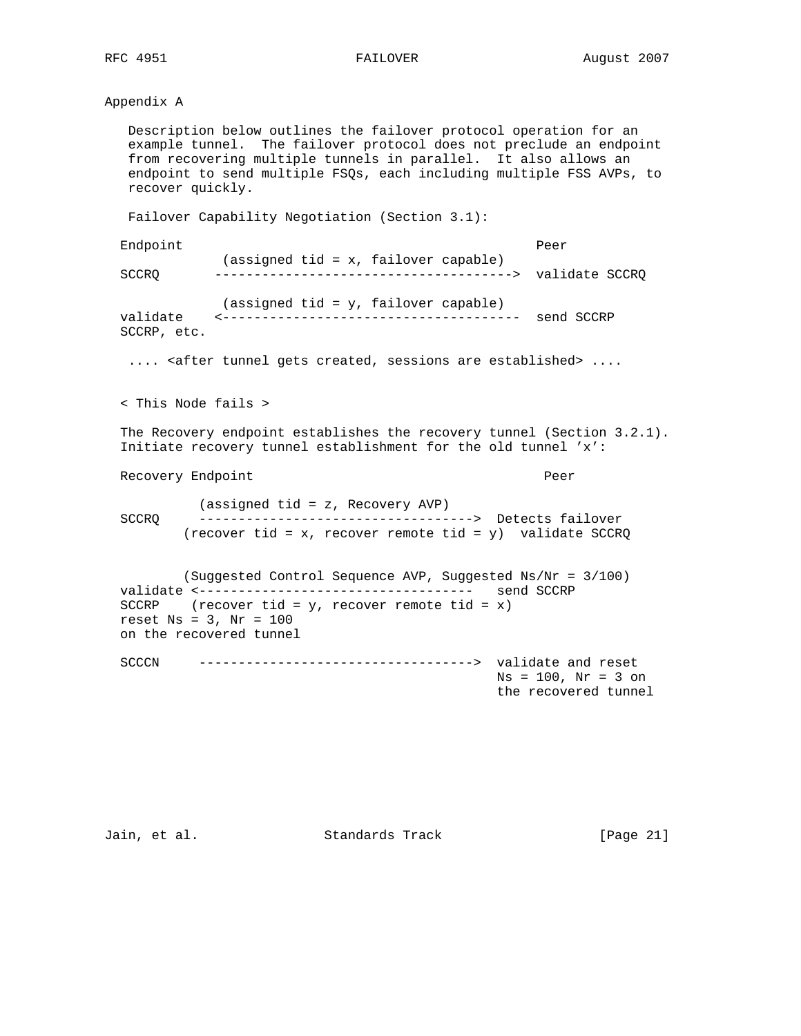## Appendix A

 Description below outlines the failover protocol operation for an example tunnel. The failover protocol does not preclude an endpoint from recovering multiple tunnels in parallel. It also allows an endpoint to send multiple FSQs, each including multiple FSS AVPs, to recover quickly.

Failover Capability Negotiation (Section 3.1):

 Endpoint Peer (assigned tid = x, failover capable) SCCRQ --------------------------------------> validate SCCRQ (assigned tid = y, failover capable) validate <-------------------------------------- send SCCRP SCCRP, etc. .... <after tunnel gets created, sessions are established> .... < This Node fails > The Recovery endpoint establishes the recovery tunnel (Section 3.2.1). Initiate recovery tunnel establishment for the old tunnel 'x': Recovery Endpoint extends the extent of the Peer (assigned tid = z, Recovery AVP) SCCRQ -----------------------------------> Detects failover (recover tid = x, recover remote tid =  $y$ ) validate SCCRQ (Suggested Control Sequence AVP, Suggested Ns/Nr = 3/100) validate <----------------------------------- send SCCRP SCCRP (recover tid = y, recover remote tid = x) reset  $Ns = 3$ ,  $Nr = 100$  on the recovered tunnel SCCCN -----------------------------------> validate and reset  $Ns = 100$ ,  $Nr = 3$  on

the recovered tunnel

Jain, et al. Standards Track [Page 21]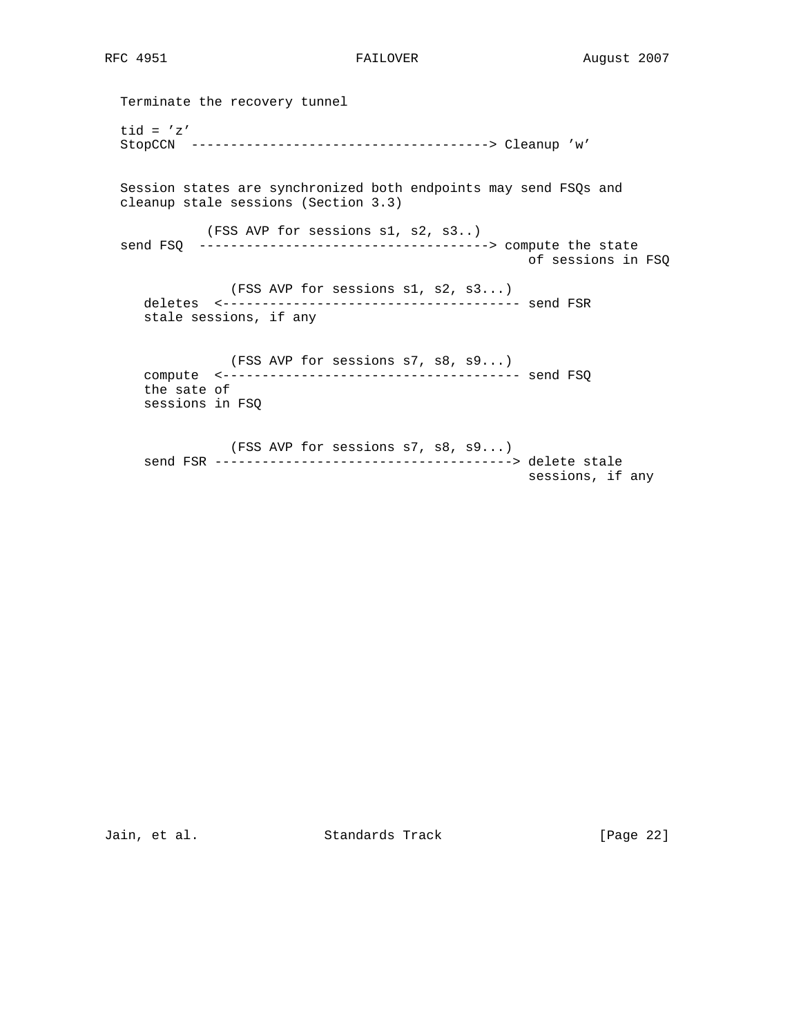Terminate the recovery tunnel tid =  $'z'$  StopCCN --------------------------------------> Cleanup 'w' Session states are synchronized both endpoints may send FSQs and cleanup stale sessions (Section 3.3) (FSS AVP for sessions s1, s2, s3..) send FSQ -------------------------------------> compute the state of sessions in FSQ (FSS AVP for sessions s1, s2, s3...) deletes <-------------------------------------- send FSR stale sessions, if any (FSS AVP for sessions s7, s8, s9...) compute <-------------------------------------- send FSQ the sate of sessions in FSQ (FSS AVP for sessions s7, s8, s9...) send FSR --------------------------------------> delete stale sessions, if any

Jain, et al. Standards Track [Page 22]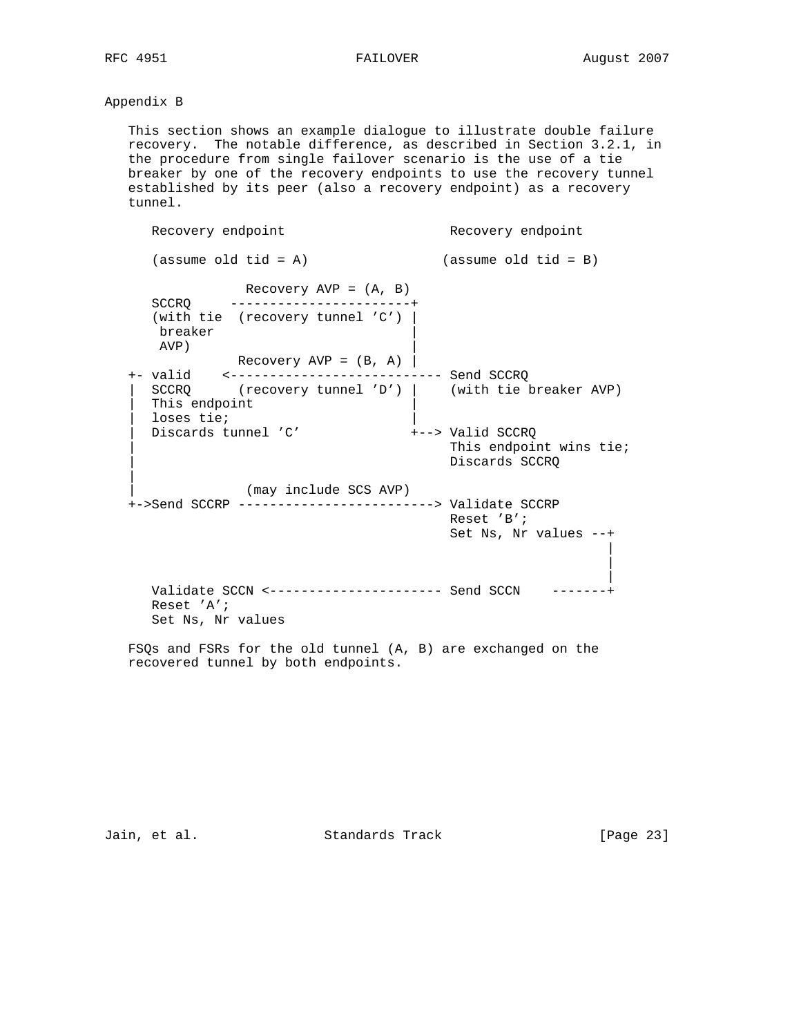# Appendix B

 This section shows an example dialogue to illustrate double failure recovery. The notable difference, as described in Section 3.2.1, in the procedure from single failover scenario is the use of a tie breaker by one of the recovery endpoints to use the recovery tunnel established by its peer (also a recovery endpoint) as a recovery tunnel.

```
Recovery endpoint and recovery endpoint
   (assume old tid = A) (assume old tid = B) Recovery AVP = (A, B)
    SCCRQ -----------------------+
     (with tie (recovery tunnel 'C') |
     breaker |
     AVP) |
          Recovery AVP = (B, A) +- valid <--------------------------- Send SCCRQ
 | SCCRQ (recovery tunnel 'D') | (with tie breaker AVP)
   This endpoint
    | loses tie; |
  Discards tunnel 'C'
                             This endpoint wins tie;
                              Discards SCCRQ
||
             | (may include SCS AVP)
  +->Send SCCRP -------------------------> Validate SCCRP
                               Reset 'B';
                               Set Ns, Nr values --+
 |
 |
 |
    Validate SCCN <---------------------- Send SCCN -------+
    Reset 'A';
    Set Ns, Nr values
```
 FSQs and FSRs for the old tunnel (A, B) are exchanged on the recovered tunnel by both endpoints.

Jain, et al. Standards Track [Page 23]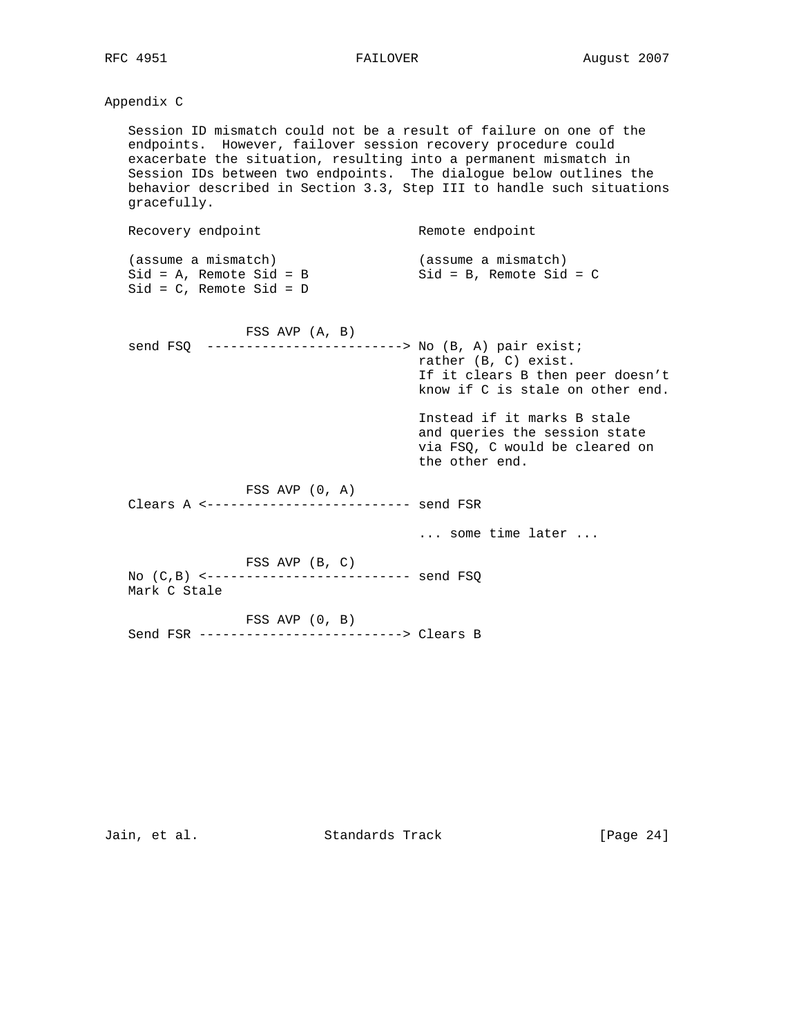# Appendix C

 Session ID mismatch could not be a result of failure on one of the endpoints. However, failover session recovery procedure could exacerbate the situation, resulting into a permanent mismatch in Session IDs between two endpoints. The dialogue below outlines the behavior described in Section 3.3, Step III to handle such situations gracefully.

| Recovery endpoint                                                                   | Remote endpoint                                     |
|-------------------------------------------------------------------------------------|-----------------------------------------------------|
| (assume a mismatch)<br>$Sid = A$ , Remote $Sid = B$<br>$Sid = C$ , Remote $Sid = D$ | (assume a mismatch)<br>$Sid = B$ , Remote $Sid = C$ |
| FSS AVP (A, B)                                                                      |                                                     |

 send FSQ -------------------------> No (B, A) pair exist; rather (B, C) exist. If it clears B then peer doesn't know if C is stale on other end.

 Instead if it marks B stale and queries the session state via FSQ, C would be cleared on the other end.

FSS AVP (0, A)

Clears A <-------------------------- send FSR

... some time later ...

 FSS AVP (B, C) No (C,B) <-------------------------- send FSQ Mark C Stale

FSS AVP (0, B)

Send FSR --------------------------> Clears B

Jain, et al. Standards Track [Page 24]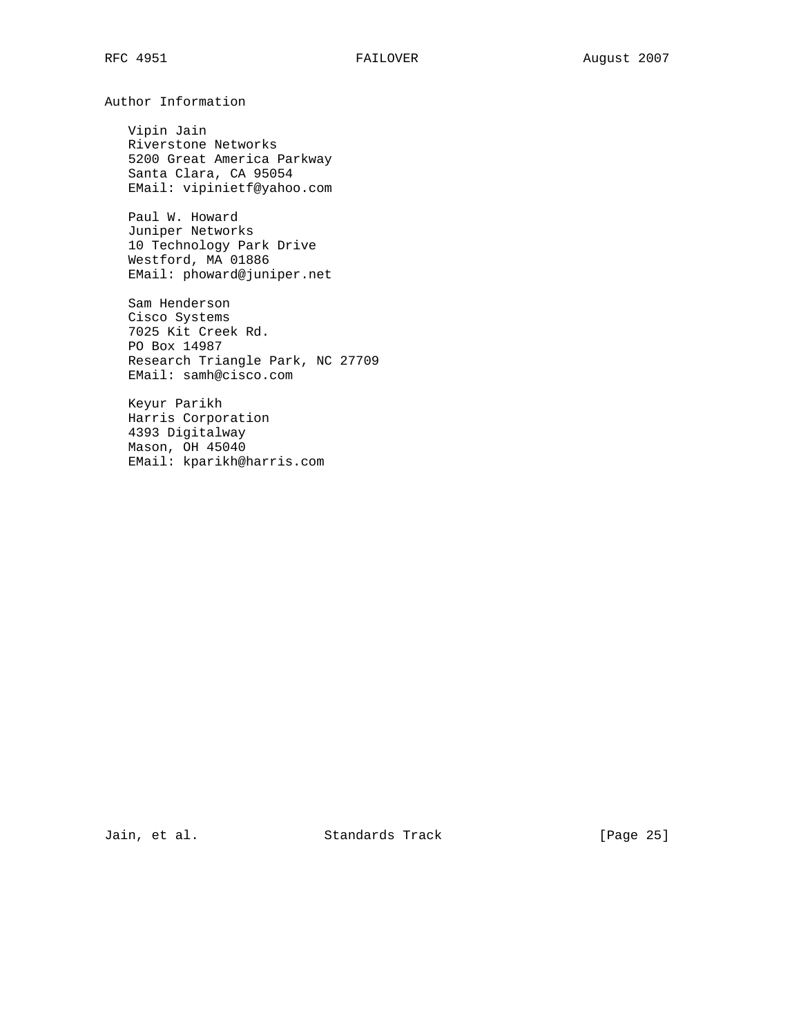Author Information

 Vipin Jain Riverstone Networks 5200 Great America Parkway Santa Clara, CA 95054 EMail: vipinietf@yahoo.com

 Paul W. Howard Juniper Networks 10 Technology Park Drive Westford, MA 01886 EMail: phoward@juniper.net

 Sam Henderson Cisco Systems 7025 Kit Creek Rd. PO Box 14987 Research Triangle Park, NC 27709 EMail: samh@cisco.com

 Keyur Parikh Harris Corporation 4393 Digitalway Mason, OH 45040 EMail: kparikh@harris.com

Jain, et al. Standards Track [Page 25]